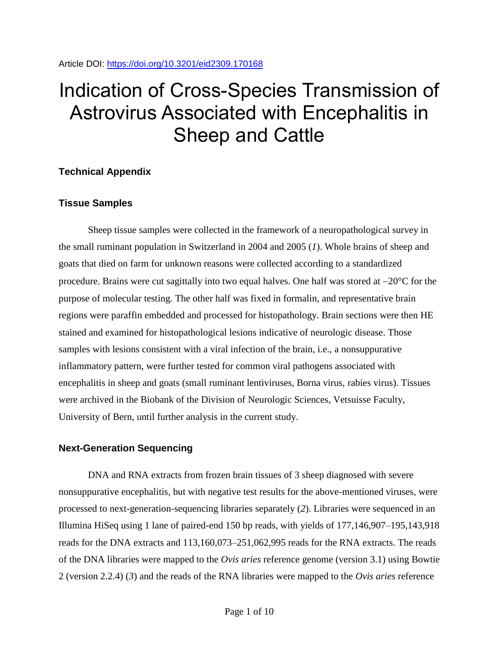# Indication of Cross-Species Transmission of Astrovirus Associated with Encephalitis in Sheep and Cattle

## **Technical Appendix**

# **Tissue Samples**

Sheep tissue samples were collected in the framework of a neuropathological survey in the small ruminant population in Switzerland in 2004 and 2005 (*1*). Whole brains of sheep and goats that died on farm for unknown reasons were collected according to a standardized procedure. Brains were cut sagittally into two equal halves. One half was stored at  $-20^{\circ}$ C for the purpose of molecular testing. The other half was fixed in formalin, and representative brain regions were paraffin embedded and processed for histopathology. Brain sections were then HE stained and examined for histopathological lesions indicative of neurologic disease. Those samples with lesions consistent with a viral infection of the brain, i.e., a nonsuppurative inflammatory pattern, were further tested for common viral pathogens associated with encephalitis in sheep and goats (small ruminant lentiviruses, Borna virus, rabies virus). Tissues were archived in the Biobank of the Division of Neurologic Sciences, Vetsuisse Faculty, University of Bern, until further analysis in the current study.

## **Next-Generation Sequencing**

DNA and RNA extracts from frozen brain tissues of 3 sheep diagnosed with severe nonsuppurative encephalitis, but with negative test results for the above-mentioned viruses, were processed to next-generation-sequencing libraries separately (*2*). Libraries were sequenced in an Illumina HiSeq using 1 lane of paired-end 150 bp reads, with yields of 177,146,907–195,143,918 reads for the DNA extracts and 113,160,073–251,062,995 reads for the RNA extracts. The reads of the DNA libraries were mapped to the *Ovis aries* reference genome (version 3.1) using Bowtie 2 (version 2.2.4) (*3*) and the reads of the RNA libraries were mapped to the *Ovis aries* reference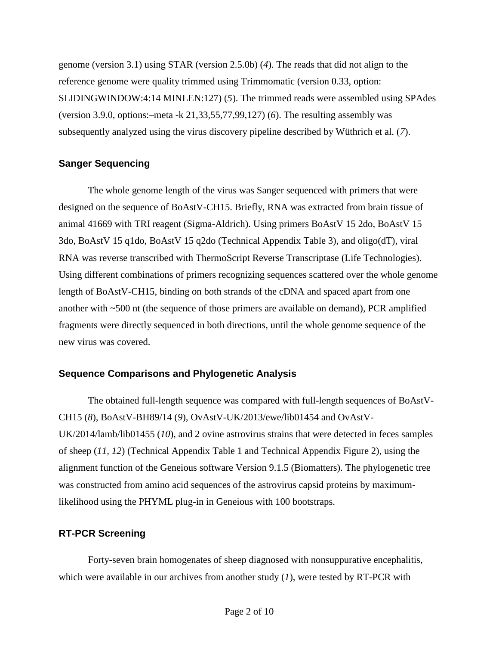genome (version 3.1) using STAR (version 2.5.0b) (*4*). The reads that did not align to the reference genome were quality trimmed using Trimmomatic (version 0.33, option: SLIDINGWINDOW:4:14 MINLEN:127) (*5*). The trimmed reads were assembled using SPAdes (version 3.9.0, options:–meta -k 21,33,55,77,99,127) (*6*). The resulting assembly was subsequently analyzed using the virus discovery pipeline described by Wüthrich et al. (*7*).

#### **Sanger Sequencing**

The whole genome length of the virus was Sanger sequenced with primers that were designed on the sequence of BoAstV-CH15. Briefly, RNA was extracted from brain tissue of animal 41669 with TRI reagent (Sigma-Aldrich). Using primers BoAstV 15 2do, BoAstV 15 3do, BoAstV 15 q1do, BoAstV 15 q2do (Technical Appendix Table 3), and oligo(dT), viral RNA was reverse transcribed with ThermoScript Reverse Transcriptase (Life Technologies). Using different combinations of primers recognizing sequences scattered over the whole genome length of BoAstV-CH15, binding on both strands of the cDNA and spaced apart from one another with ~500 nt (the sequence of those primers are available on demand), PCR amplified fragments were directly sequenced in both directions, until the whole genome sequence of the new virus was covered.

## **Sequence Comparisons and Phylogenetic Analysis**

The obtained full-length sequence was compared with full-length sequences of BoAstV-CH15 (*8*), BoAstV-BH89/14 (*9*), OvAstV-UK/2013/ewe/lib01454 and OvAstV-UK/2014/lamb/lib01455 (*10*), and 2 ovine astrovirus strains that were detected in feces samples of sheep (*11, 12*) (Technical Appendix Table 1 and Technical Appendix Figure 2), using the alignment function of the Geneious software Version 9.1.5 (Biomatters). The phylogenetic tree was constructed from amino acid sequences of the astrovirus capsid proteins by maximumlikelihood using the PHYML plug-in in Geneious with 100 bootstraps.

## **RT-PCR Screening**

Forty-seven brain homogenates of sheep diagnosed with nonsuppurative encephalitis, which were available in our archives from another study (*1*), were tested by RT-PCR with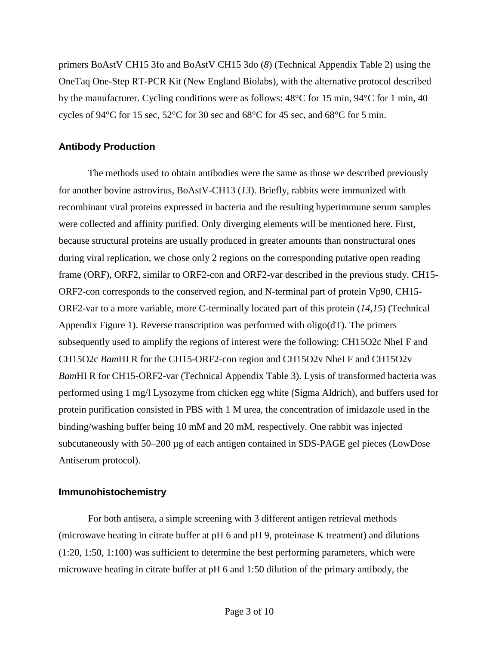primers BoAstV CH15 3fo and BoAstV CH15 3do (*8*) (Technical Appendix Table 2) using the OneTaq One-Step RT-PCR Kit (New England Biolabs), with the alternative protocol described by the manufacturer. Cycling conditions were as follows: 48°C for 15 min, 94°C for 1 min, 40 cycles of 94°C for 15 sec, 52°C for 30 sec and 68°C for 45 sec, and 68°C for 5 min.

#### **Antibody Production**

The methods used to obtain antibodies were the same as those we described previously for another bovine astrovirus, BoAstV-CH13 (*13*). Briefly, rabbits were immunized with recombinant viral proteins expressed in bacteria and the resulting hyperimmune serum samples were collected and affinity purified. Only diverging elements will be mentioned here. First, because structural proteins are usually produced in greater amounts than nonstructural ones during viral replication, we chose only 2 regions on the corresponding putative open reading frame (ORF), ORF2, similar to ORF2-con and ORF2-var described in the previous study. CH15- ORF2-con corresponds to the conserved region, and N-terminal part of protein Vp90, CH15- ORF2-var to a more variable, more C-terminally located part of this protein (*14,15*) (Technical Appendix Figure 1). Reverse transcription was performed with oligo(dT). The primers subsequently used to amplify the regions of interest were the following: CH15O2c NheI F and CH15O2c *Bam*HI R for the CH15-ORF2-con region and CH15O2v NheI F and CH15O2v *Bam*HI R for CH15-ORF2-var (Technical Appendix Table 3). Lysis of transformed bacteria was performed using 1 mg/l Lysozyme from chicken egg white (Sigma Aldrich), and buffers used for protein purification consisted in PBS with 1 M urea, the concentration of imidazole used in the binding/washing buffer being 10 mM and 20 mM, respectively. One rabbit was injected subcutaneously with 50–200 μg of each antigen contained in SDS-PAGE gel pieces (LowDose Antiserum protocol).

#### **Immunohistochemistry**

For both antisera, a simple screening with 3 different antigen retrieval methods (microwave heating in citrate buffer at pH 6 and pH 9, proteinase K treatment) and dilutions (1:20, 1:50, 1:100) was sufficient to determine the best performing parameters, which were microwave heating in citrate buffer at pH 6 and 1:50 dilution of the primary antibody, the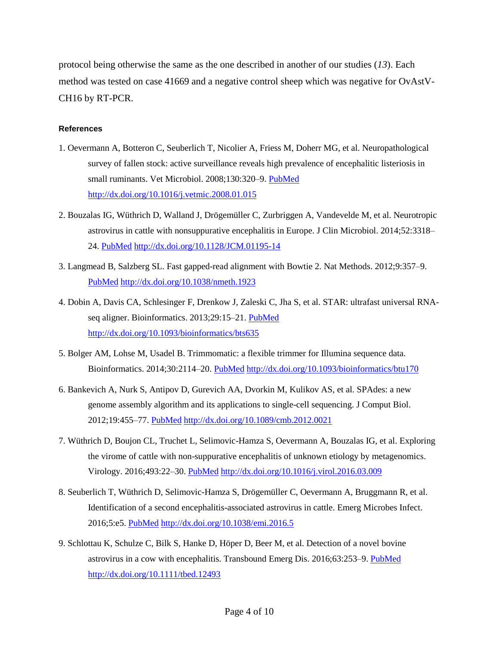protocol being otherwise the same as the one described in another of our studies (*13*). Each method was tested on case 41669 and a negative control sheep which was negative for OvAstV-CH16 by RT-PCR.

#### **References**

- 1. Oevermann A, Botteron C, Seuberlich T, Nicolier A, Friess M, Doherr MG, et al. Neuropathological survey of fallen stock: active surveillance reveals high prevalence of encephalitic listeriosis in small ruminants. Vet Microbiol. 2008;130:320-9. [PubMed](https://www.ncbi.nlm.nih.gov/entrez/query.fcgi?cmd=Retrieve&db=PubMed&list_uids=18355992&dopt=Abstract) <http://dx.doi.org/10.1016/j.vetmic.2008.01.015>
- 2. Bouzalas IG, Wüthrich D, Walland J, Drögemüller C, Zurbriggen A, Vandevelde M, et al. Neurotropic astrovirus in cattle with nonsuppurative encephalitis in Europe. J Clin Microbiol. 2014;52:3318– 24. [PubMed](https://www.ncbi.nlm.nih.gov/entrez/query.fcgi?cmd=Retrieve&db=PubMed&list_uids=24989603&dopt=Abstract) <http://dx.doi.org/10.1128/JCM.01195-14>
- 3. Langmead B, Salzberg SL. Fast gapped-read alignment with Bowtie 2. Nat Methods. 2012;9:357–9[.](https://www.ncbi.nlm.nih.gov/entrez/query.fcgi?cmd=Retrieve&db=PubMed&list_uids=22388286&dopt=Abstract) [PubMed](https://www.ncbi.nlm.nih.gov/entrez/query.fcgi?cmd=Retrieve&db=PubMed&list_uids=22388286&dopt=Abstract) <http://dx.doi.org/10.1038/nmeth.1923>
- 4. Dobin A, Davis CA, Schlesinger F, Drenkow J, Zaleski C, Jha S, et al. STAR: ultrafast universal RNA-seq aligner. Bioinformatics. 2013;29:15-21. [PubMed](https://www.ncbi.nlm.nih.gov/entrez/query.fcgi?cmd=Retrieve&db=PubMed&list_uids=23104886&dopt=Abstract) <http://dx.doi.org/10.1093/bioinformatics/bts635>
- 5. Bolger AM, Lohse M, Usadel B. Trimmomatic: a flexible trimmer for Illumina sequence data. Bioinformatics. 2014;30:2114-20. [PubMed](https://www.ncbi.nlm.nih.gov/entrez/query.fcgi?cmd=Retrieve&db=PubMed&list_uids=24695404&dopt=Abstract) <http://dx.doi.org/10.1093/bioinformatics/btu170>
- 6. Bankevich A, Nurk S, Antipov D, Gurevich AA, Dvorkin M, Kulikov AS, et al. SPAdes: a new genome assembly algorithm and its applications to single-cell sequencing. J Comput Biol. 2012;19:455–77. [PubMed](https://www.ncbi.nlm.nih.gov/entrez/query.fcgi?cmd=Retrieve&db=PubMed&list_uids=22506599&dopt=Abstract) <http://dx.doi.org/10.1089/cmb.2012.0021>
- 7. Wüthrich D, Boujon CL, Truchet L, Selimovic-Hamza S, Oevermann A, Bouzalas IG, et al. Exploring the virome of cattle with non-suppurative encephalitis of unknown etiology by metagenomics. Virology. 2016;493:22–30. [PubMed](https://www.ncbi.nlm.nih.gov/entrez/query.fcgi?cmd=Retrieve&db=PubMed&list_uids=26994586&dopt=Abstract) <http://dx.doi.org/10.1016/j.virol.2016.03.009>
- 8. Seuberlich T, Wüthrich D, Selimovic-Hamza S, Drögemüller C, Oevermann A, Bruggmann R, et al. Identification of a second encephalitis-associated astrovirus in cattle. Emerg Microbes Infect. 2016;5:e5. [PubMed](https://www.ncbi.nlm.nih.gov/entrez/query.fcgi?cmd=Retrieve&db=PubMed&list_uids=26785943&dopt=Abstract) <http://dx.doi.org/10.1038/emi.2016.5>
- 9. Schlottau K, Schulze C, Bilk S, Hanke D, Höper D, Beer M, et al. Detection of a novel bovine astrovirus in a cow with encephalitis. Transbound Emerg Dis. 2016;63:253–9. [PubMed](https://www.ncbi.nlm.nih.gov/entrez/query.fcgi?cmd=Retrieve&db=PubMed&list_uids=26948516&dopt=Abstract) <http://dx.doi.org/10.1111/tbed.12493>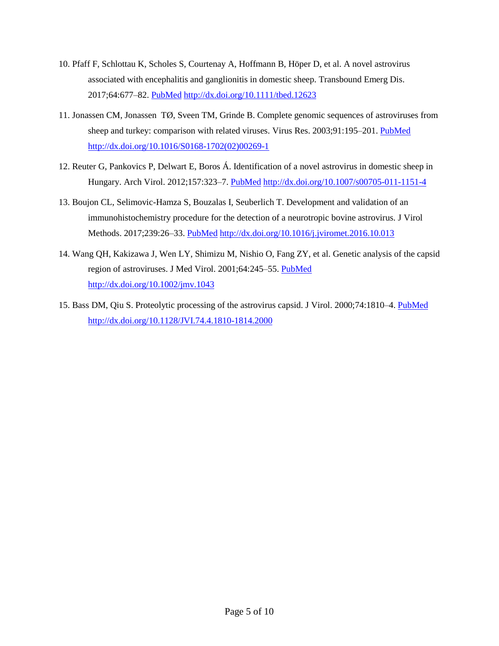- 10. Pfaff F, Schlottau K, Scholes S, Courtenay A, Hoffmann B, Höper D, et al. A novel astrovirus associated with encephalitis and ganglionitis in domestic sheep. Transbound Emerg Dis. 2017;64:677–82. [PubMed](https://www.ncbi.nlm.nih.gov/entrez/query.fcgi?cmd=Retrieve&db=PubMed&list_uids=28224712&dopt=Abstract) <http://dx.doi.org/10.1111/tbed.12623>
- 11. Jonassen CM, Jonassen TØ, Sveen TM, Grinde B. Complete genomic sequences of astroviruses from sheep and turkey: comparison with related viruses. Virus Res. 2003;91:195–201. [PubMed](https://www.ncbi.nlm.nih.gov/entrez/query.fcgi?cmd=Retrieve&db=PubMed&list_uids=12573498&dopt=Abstract) [http://dx.doi.org/10.1016/S0168-1702\(02\)00269-1](http://dx.doi.org/10.1016/S0168-1702(02)00269-1)
- 12. Reuter G, Pankovics P, Delwart E, Boros Á. Identification of a novel astrovirus in domestic sheep in Hungary. Arch Virol. 2012;157:323–7. [PubMed](https://www.ncbi.nlm.nih.gov/entrez/query.fcgi?cmd=Retrieve&db=PubMed&list_uids=22033597&dopt=Abstract) <http://dx.doi.org/10.1007/s00705-011-1151-4>
- 13. Boujon CL, Selimovic-Hamza S, Bouzalas I, Seuberlich T. Development and validation of an immunohistochemistry procedure for the detection of a neurotropic bovine astrovirus. J Virol Methods. 2017;239:26–33. [PubMed](https://www.ncbi.nlm.nih.gov/entrez/query.fcgi?cmd=Retrieve&db=PubMed&list_uids=27916667&dopt=Abstract) <http://dx.doi.org/10.1016/j.jviromet.2016.10.013>
- 14. Wang QH, Kakizawa J, Wen LY, Shimizu M, Nishio O, Fang ZY, et al. Genetic analysis of the capsid region of astroviruses. J Med Virol. 2001;64:245-55. [PubMed](https://www.ncbi.nlm.nih.gov/entrez/query.fcgi?cmd=Retrieve&db=PubMed&list_uids=11424111&dopt=Abstract) <http://dx.doi.org/10.1002/jmv.1043>
- 15. Bass DM, Qiu S. Proteolytic processing of the astrovirus capsid. J Virol. 2000;74:1810–4. [PubMed](https://www.ncbi.nlm.nih.gov/entrez/query.fcgi?cmd=Retrieve&db=PubMed&list_uids=10644354&dopt=Abstract) <http://dx.doi.org/10.1128/JVI.74.4.1810-1814.2000>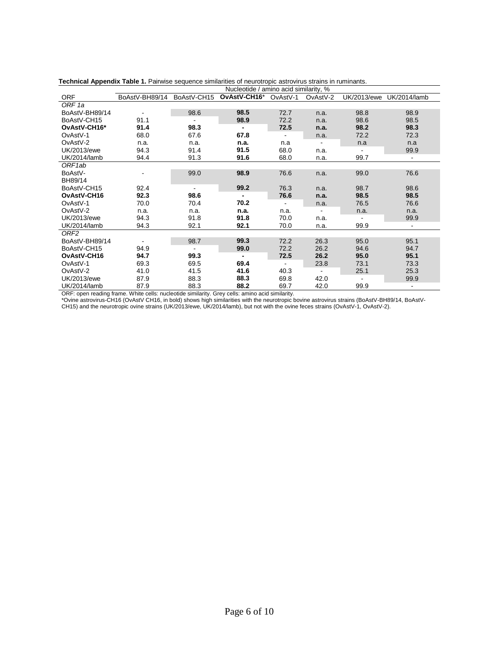|                     |                |                | Nucleotide / amino acid similarity, % |                          |                |             |                |
|---------------------|----------------|----------------|---------------------------------------|--------------------------|----------------|-------------|----------------|
| <b>ORF</b>          | BoAstV-BH89/14 | BoAstV-CH15    | OvAstV-CH16*                          | OvAstV-1                 | OvAstV-2       | UK/2013/ewe | UK/2014/lamb   |
| ORF <sub>1a</sub>   |                |                |                                       |                          |                |             |                |
| BoAstV-BH89/14      |                | 98.6           | 98.5                                  | 72.7                     | n.a.           | 98.8        | 98.9           |
| BoAstV-CH15         | 91.1           |                | 98.9                                  | 72.2                     | n.a.           | 98.6        | 98.5           |
| OvAstV-CH16*        | 91.4           | 98.3           | $\blacksquare$                        | 72.5                     | n.a.           | 98.2        | 98.3           |
| OvAstV-1            | 68.0           | 67.6           | 67.8                                  | $\overline{\phantom{a}}$ | n.a.           | 72.2        | 72.3           |
| OvAstV-2            | n.a.           | n.a.           | n.a.                                  | n.a                      |                | n.a         | n.a            |
| UK/2013/ewe         | 94.3           | 91.4           | 91.5                                  | 68.0                     | n.a.           |             | 99.9           |
| UK/2014/lamb        | 94.4           | 91.3           | 91.6                                  | 68.0                     | n.a.           | 99.7        | $\blacksquare$ |
| ORF <sub>1</sub> ab |                |                |                                       |                          |                |             |                |
| BoAstV-             |                | 99.0           | 98.9                                  | 76.6                     | n.a.           | 99.0        | 76.6           |
| BH89/14             |                |                |                                       |                          |                |             |                |
| BoAstV-CH15         | 92.4           | $\blacksquare$ | 99.2                                  | 76.3                     | n.a.           | 98.7        | 98.6           |
| OvAstV-CH16         | 92.3           | 98.6           | $\blacksquare$                        | 76.6                     | n.a.           | 98.5        | 98.5           |
| OvAstV-1            | 70.0           | 70.4           | 70.2                                  |                          | n.a.           | 76.5        | 76.6           |
| OvAstV-2            | n.a.           | n.a.           | n.a.                                  | n.a.                     |                | n.a.        | n.a.           |
| UK/2013/ewe         | 94.3           | 91.8           | 91.8                                  | 70.0                     | n.a.           |             | 99.9           |
| UK/2014/lamb        | 94.3           | 92.1           | 92.1                                  | 70.0                     | n.a.           | 99.9        | $\sim$         |
| ORF <sub>2</sub>    |                |                |                                       |                          |                |             |                |
| BoAstV-BH89/14      |                | 98.7           | 99.3                                  | 72.2                     | 26.3           | 95.0        | 95.1           |
| BoAstV-CH15         | 94.9           | $\blacksquare$ | 99.0                                  | 72.2                     | 26.2           | 94.6        | 94.7           |
| OvAstV-CH16         | 94.7           | 99.3           | $\overline{\phantom{a}}$              | 72.5                     | 26.2           | 95.0        | 95.1           |
| OvAstV-1            | 69.3           | 69.5           | 69.4                                  |                          | 23.8           | 73.1        | 73.3           |
| OvAstV-2            | 41.0           | 41.5           | 41.6                                  | 40.3                     | $\blacksquare$ | 25.1        | 25.3           |
| UK/2013/ewe         | 87.9           | 88.3           | 88.3                                  | 69.8                     | 42.0           |             | 99.9           |
| UK/2014/lamb        | 87.9           | 88.3           | 88.2                                  | 69.7                     | 42.0           | 99.9        | $\blacksquare$ |

| Technical Appendix Table 1. Pairwise sequence similarities of neurotropic astrovirus strains in ruminants. |
|------------------------------------------------------------------------------------------------------------|
|------------------------------------------------------------------------------------------------------------|

ORF: open reading frame. White cells: nucleotide similarity. Grey cells: amino acid similarity.

\*Ovine astrovirus-CH16 (OvAstV CH16, in bold) shows high similarities with the neurotropic bovine astrovirus strains (BoAstV-BH89/14, BoAstV-CH15) and the neurotropic ovine strains (UK/2013/ewe, UK/2014/lamb), but not with the ovine feces strains (OvAstV-1, OvAstV-2).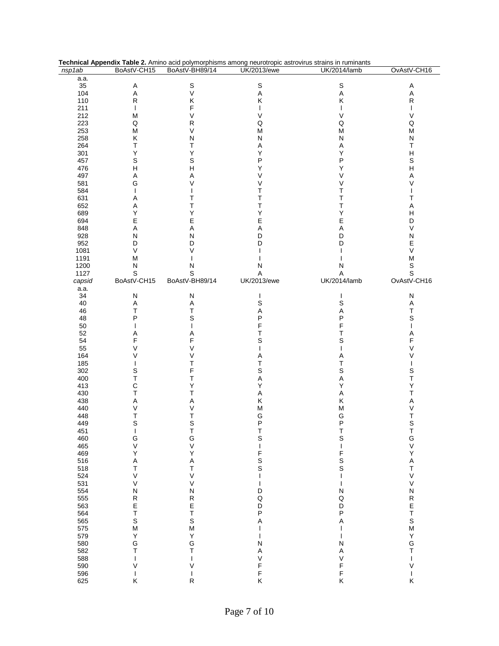|        |                |                  | Technical Appendix Table 2. Amino acid polymorphisms among neurotropic astrovirus strains in ruminants |              |                           |
|--------|----------------|------------------|--------------------------------------------------------------------------------------------------------|--------------|---------------------------|
| nsp1ab | BoAstV-CH15    | BoAstV-BH89/14   | <b>UK/2013/ewe</b>                                                                                     | UK/2014/lamb | OvAstV-CH16               |
| a.a.   |                |                  |                                                                                                        |              |                           |
| 35     | Α              | S                | $\mathbb S$                                                                                            | $\mathbb S$  | Α                         |
| 104    | A              | $\vee$           | A                                                                                                      | A            | A                         |
| 110    | R              | Κ                | Κ                                                                                                      | Κ            | ${\sf R}$                 |
| 211    | $\mathbf{I}$   | F                | $\mathbf{I}$                                                                                           | $\mathbf{I}$ |                           |
| 212    | M              | V                | V                                                                                                      | V            | V                         |
|        |                |                  |                                                                                                        |              |                           |
| 223    | Q              | $\mathsf{R}$     | Q                                                                                                      | Q            | $\sf Q$                   |
| 253    | М              | V                | М                                                                                                      | M            | M                         |
| 258    | Κ              | N                | N                                                                                                      | N            | N                         |
| 264    | т              | Т                | Α                                                                                                      | Α            | Τ                         |
| 301    | Υ              | Υ                | Υ                                                                                                      | Υ            | $\mathsf{H}$              |
| 457    | S              | S                | Ρ                                                                                                      | P            | $\mathbb S$               |
| 476    | н              | $\overline{H}$   | Υ                                                                                                      | Υ            | Н                         |
| 497    | Α              | Α                | V                                                                                                      | V            | Α                         |
| 581    | G              | V                | V                                                                                                      | V            | V                         |
| 584    |                |                  | Τ                                                                                                      | Т            |                           |
| 631    | Α              | Т                | T                                                                                                      | Т            | Τ                         |
| 652    | Α              | Т                | Τ                                                                                                      | Т            | Α                         |
| 689    | Υ              | Υ                | Υ                                                                                                      | Υ            | н                         |
| 694    | E              | Е                | E                                                                                                      | E            | D                         |
|        |                |                  |                                                                                                        |              | V                         |
| 848    | Α              | Α                | Α                                                                                                      | Α            |                           |
| 928    | Ν              | $\mathsf{N}$     | D                                                                                                      | D            | ${\sf N}$                 |
| 952    | D              | D                | D                                                                                                      | D            | Е                         |
| 1081   | $\vee$         | V                |                                                                                                        |              | $\mathsf V$               |
| 1191   | M              |                  |                                                                                                        |              | М                         |
| 1200   | Ν              | N                | N                                                                                                      | N            | S                         |
| 1127   | S              | S                | A                                                                                                      | A            | $\mathsf S$               |
| capsid | BoAstV-CH15    | BoAstV-BH89/14   | UK/2013/ewe                                                                                            | UK/2014/lamb | OvAstV-CH16               |
| a.a.   |                |                  |                                                                                                        |              |                           |
| 34     | N              | N                | $\mathbf{I}$                                                                                           | $\mathbf{I}$ | ${\sf N}$                 |
| 40     | Α              | Α                | $\mathbb S$                                                                                            | S            | Α                         |
| 46     | Τ              | T                | Α                                                                                                      | A            | Τ                         |
| 48     | P              | S                | P                                                                                                      | Ρ            | S                         |
|        |                |                  | F                                                                                                      | F            |                           |
| 50     |                |                  |                                                                                                        |              |                           |
| 52     | Α              | Α                | Т                                                                                                      | Т            | Α                         |
| 54     | F              | F                | S                                                                                                      | S            | F                         |
| 55     | V              | V                |                                                                                                        |              | V                         |
| 164    | V              | ٧                | Α                                                                                                      | Α            | V                         |
| 185    |                | T                | Τ                                                                                                      | Τ            |                           |
| 302    | S              | F                | S                                                                                                      | S            | $\mathbb S$               |
| 400    | Т              | Т                | Α                                                                                                      | А            | T                         |
| 413    | C              | Υ                | Υ                                                                                                      | Υ            | Υ                         |
| 430    | Т              | Т                | Α                                                                                                      | Α            | Т                         |
| 438    | Α              | Α                | Κ                                                                                                      | Κ            | Α                         |
| 440    | V              | V                | М                                                                                                      | M            | V                         |
| 448    | Т              | T                | G                                                                                                      | G            | T                         |
| 449    | S              | S                | P                                                                                                      | P            | $\mathbf S$               |
| 451    | I              | $\top$           | $\top$                                                                                                 | T            | $\top$                    |
| 460    | G              | G                | $\mathsf S$                                                                                            | S            | G                         |
| 465    | V              | $\vee$           | $\mathbf{I}$                                                                                           | $\mathbf{I}$ | $\mathsf V$               |
| 469    | Υ              | Υ                | F                                                                                                      | F            | Υ                         |
|        |                |                  |                                                                                                        |              |                           |
| 516    | A              | A                | $\mathbb S$                                                                                            | S            | $\boldsymbol{\mathsf{A}}$ |
| 518    | $\top$         | T                | $\mathsf S$                                                                                            | S            | T                         |
| 524    | V              | $\vee$           | $\mathbf{I}$                                                                                           | $\mathbf{I}$ | $\mathsf V$               |
| 531    | V              | V                | $\mathbf{I}$                                                                                           |              | V                         |
| 554    | N              | $\mathsf{N}$     | D                                                                                                      | N            | ${\sf N}$                 |
| 555    | R              |                  | Q                                                                                                      | Q            |                           |
| 563    | E              | R<br>E<br>T<br>S | D                                                                                                      | D            | R<br>E<br>T               |
| 564    | T              |                  | P                                                                                                      | P            |                           |
| 565    | S              |                  | Α                                                                                                      | Α            | $\mathsf S$               |
| 575    | M              | $\mathsf{M}$     | $\mathbf{I}$                                                                                           | T            | ${\sf M}$                 |
| 579    | Υ              | Υ                | $\mathbf{I}$                                                                                           | T            | Υ                         |
| 580    | G              | G                | N                                                                                                      | N            | G                         |
| 582    | Т              | T                | Α                                                                                                      | A            | T                         |
| 588    | $\overline{1}$ |                  | V                                                                                                      | V            | L                         |
| 590    | V              | ٧                | F                                                                                                      | F            | V                         |
| 596    | T              |                  | F                                                                                                      | F            | L                         |
| 625    | Κ              | R                | Κ                                                                                                      | Κ            | Κ                         |
|        |                |                  |                                                                                                        |              |                           |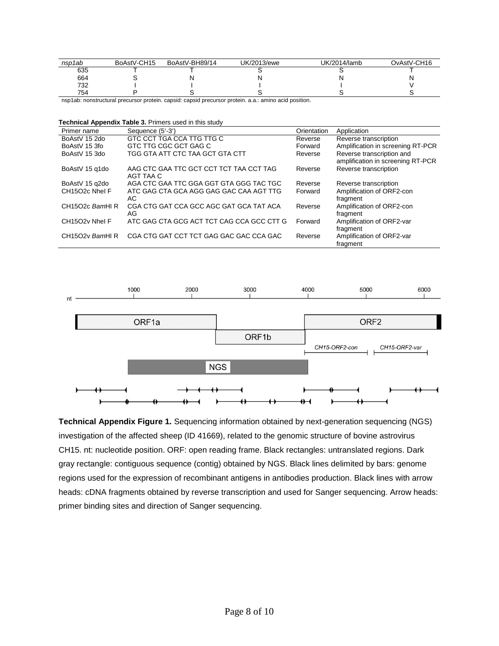| nsp1ab | BoAstV-CH15 | BoAstV-BH89/14 | UK/2013/ewe | UK/2014/lamb | OvAstV-CH16 |
|--------|-------------|----------------|-------------|--------------|-------------|
| 635    |             |                |             |              |             |
| 664    |             |                |             |              |             |
| 732    |             |                |             |              |             |
| 754    |             |                |             |              |             |

nsp1ab: nonstructural precursor protein. capsid: capsid precursor protein. a.a.: amino acid position.

**Technical Appendix Table 3.** Primers used in this study

| Primer name     | Sequence (5'-3')                                     | Orientation | Application                                                    |
|-----------------|------------------------------------------------------|-------------|----------------------------------------------------------------|
| BoAstV 15 2do   | GTC CCT TGA CCA TTG TTG C                            | Reverse     | Reverse transcription                                          |
| BoAstV 15 3fo   | GTC TTG CGC GCT GAG C                                | Forward     | Amplification in screening RT-PCR                              |
| BoAstV 15 3do   | TGG GTA ATT CTC TAA GCT GTA CTT                      | Reverse     | Reverse transcription and<br>amplification in screening RT-PCR |
| BoAstV 15 q1do  | AAG CTC GAA TTC GCT CCT TCT TAA CCT TAG<br>AGT TAA C | Reverse     | Reverse transcription                                          |
| BoAstV 15 q2do  | AGA CTC GAA TTC GGA GGT GTA GGG TAC TGC              | Reverse     | Reverse transcription                                          |
| CH15O2c Nhel F  | ATC GAG CTA GCA AGG GAG GAC CAA AGT TTG<br>AC.       | Forward     | Amplification of ORF2-con<br>fragment                          |
| CH15O2c BamHIR  | CGA CTG GAT CCA GCC AGC GAT GCA TAT ACA<br>AG        | Reverse     | Amplification of ORF2-con<br>fragment                          |
| CH15O2v Nhel F  | ATC GAG CTA GCG ACT TCT CAG CCA GCC CTT G            | Forward     | Amplification of ORF2-var<br>fragment                          |
| CH15O2v BamHI R | CGA CTG GAT CCT TCT GAG GAC GAC CCA GAC              | Reverse     | Amplification of ORF2-var<br>fragment                          |



**Technical Appendix Figure 1.** Sequencing information obtained by next-generation sequencing (NGS) investigation of the affected sheep (ID 41669), related to the genomic structure of bovine astrovirus CH15. nt: nucleotide position. ORF: open reading frame. Black rectangles: untranslated regions. Dark gray rectangle: contiguous sequence (contig) obtained by NGS. Black lines delimited by bars: genome regions used for the expression of recombinant antigens in antibodies production. Black lines with arrow heads: cDNA fragments obtained by reverse transcription and used for Sanger sequencing. Arrow heads: primer binding sites and direction of Sanger sequencing.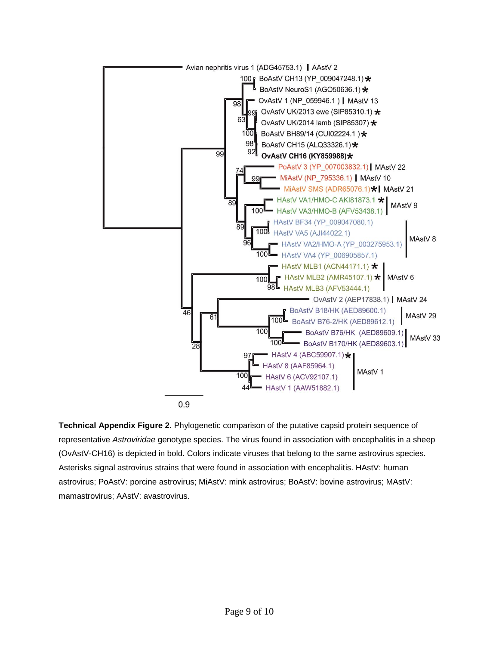

**Technical Appendix Figure 2.** Phylogenetic comparison of the putative capsid protein sequence of representative *Astroviridae* genotype species. The virus found in association with encephalitis in a sheep (OvAstV-CH16) is depicted in bold. Colors indicate viruses that belong to the same astrovirus species. Asterisks signal astrovirus strains that were found in association with encephalitis. HAstV: human astrovirus; PoAstV: porcine astrovirus; MiAstV: mink astrovirus; BoAstV: bovine astrovirus; MAstV: mamastrovirus; AAstV: avastrovirus.